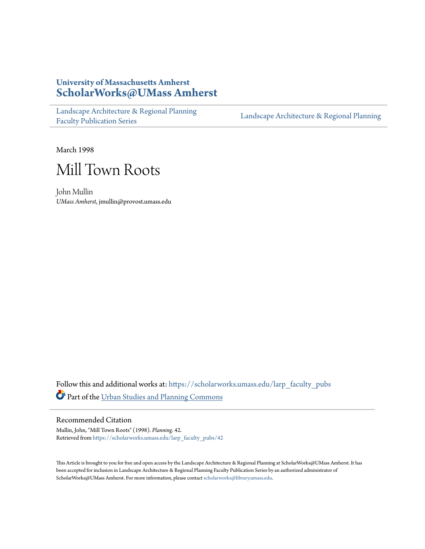# **University of Massachusetts Amherst [ScholarWorks@UMass Amherst](https://scholarworks.umass.edu?utm_source=scholarworks.umass.edu%2Flarp_faculty_pubs%2F42&utm_medium=PDF&utm_campaign=PDFCoverPages)**

[Landscape Architecture & Regional Planning](https://scholarworks.umass.edu/larp_faculty_pubs?utm_source=scholarworks.umass.edu%2Flarp_faculty_pubs%2F42&utm_medium=PDF&utm_campaign=PDFCoverPages) [Faculty Publication Series](https://scholarworks.umass.edu/larp_faculty_pubs?utm_source=scholarworks.umass.edu%2Flarp_faculty_pubs%2F42&utm_medium=PDF&utm_campaign=PDFCoverPages)

[Landscape Architecture & Regional Planning](https://scholarworks.umass.edu/larp?utm_source=scholarworks.umass.edu%2Flarp_faculty_pubs%2F42&utm_medium=PDF&utm_campaign=PDFCoverPages)

March 1998



John Mullin *UMass Amherst*, jmullin@provost.umass.edu

Follow this and additional works at: [https://scholarworks.umass.edu/larp\\_faculty\\_pubs](https://scholarworks.umass.edu/larp_faculty_pubs?utm_source=scholarworks.umass.edu%2Flarp_faculty_pubs%2F42&utm_medium=PDF&utm_campaign=PDFCoverPages) Part of the [Urban Studies and Planning Commons](http://network.bepress.com/hgg/discipline/436?utm_source=scholarworks.umass.edu%2Flarp_faculty_pubs%2F42&utm_medium=PDF&utm_campaign=PDFCoverPages)

Recommended Citation

Mullin, John, "Mill Town Roots" (1998). *Planning*. 42. Retrieved from [https://scholarworks.umass.edu/larp\\_faculty\\_pubs/42](https://scholarworks.umass.edu/larp_faculty_pubs/42?utm_source=scholarworks.umass.edu%2Flarp_faculty_pubs%2F42&utm_medium=PDF&utm_campaign=PDFCoverPages)

This Article is brought to you for free and open access by the Landscape Architecture & Regional Planning at ScholarWorks@UMass Amherst. It has been accepted for inclusion in Landscape Architecture & Regional Planning Faculty Publication Series by an authorized administrator of ScholarWorks@UMass Amherst. For more information, please contact [scholarworks@library.umass.edu.](mailto:scholarworks@library.umass.edu)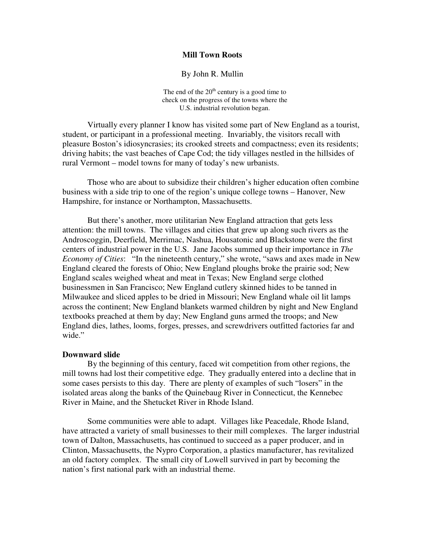#### **Mill Town Roots**

By John R. Mullin

The end of the  $20<sup>th</sup>$  century is a good time to check on the progress of the towns where the U.S. industrial revolution began.

Virtually every planner I know has visited some part of New England as a tourist, student, or participant in a professional meeting. Invariably, the visitors recall with pleasure Boston's idiosyncrasies; its crooked streets and compactness; even its residents; driving habits; the vast beaches of Cape Cod; the tidy villages nestled in the hillsides of rural Vermont – model towns for many of today's new urbanists.

Those who are about to subsidize their children's higher education often combine business with a side trip to one of the region's unique college towns – Hanover, New Hampshire, for instance or Northampton, Massachusetts.

But there's another, more utilitarian New England attraction that gets less attention: the mill towns. The villages and cities that grew up along such rivers as the Androscoggin, Deerfield, Merrimac, Nashua, Housatonic and Blackstone were the first centers of industrial power in the U.S. Jane Jacobs summed up their importance in *The Economy of Cities*: "In the nineteenth century," she wrote, "saws and axes made in New England cleared the forests of Ohio; New England ploughs broke the prairie sod; New England scales weighed wheat and meat in Texas; New England serge clothed businessmen in San Francisco; New England cutlery skinned hides to be tanned in Milwaukee and sliced apples to be dried in Missouri; New England whale oil lit lamps across the continent; New England blankets warmed children by night and New England textbooks preached at them by day; New England guns armed the troops; and New England dies, lathes, looms, forges, presses, and screwdrivers outfitted factories far and wide."

#### **Downward slide**

 By the beginning of this century, faced wit competition from other regions, the mill towns had lost their competitive edge. They gradually entered into a decline that in some cases persists to this day. There are plenty of examples of such "losers" in the isolated areas along the banks of the Quinebaug River in Connecticut, the Kennebec River in Maine, and the Shetucket River in Rhode Island.

 Some communities were able to adapt. Villages like Peacedale, Rhode Island, have attracted a variety of small businesses to their mill complexes. The larger industrial town of Dalton, Massachusetts, has continued to succeed as a paper producer, and in Clinton, Massachusetts, the Nypro Corporation, a plastics manufacturer, has revitalized an old factory complex. The small city of Lowell survived in part by becoming the nation's first national park with an industrial theme.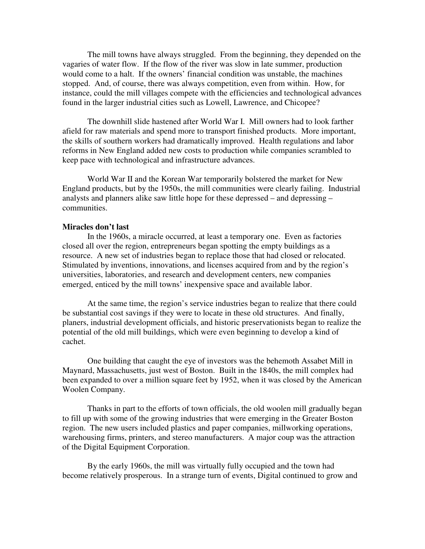The mill towns have always struggled. From the beginning, they depended on the vagaries of water flow. If the flow of the river was slow in late summer, production would come to a halt. If the owners' financial condition was unstable, the machines stopped. And, of course, there was always competition, even from within. How, for instance, could the mill villages compete with the efficiencies and technological advances found in the larger industrial cities such as Lowell, Lawrence, and Chicopee?

 The downhill slide hastened after World War I. Mill owners had to look farther afield for raw materials and spend more to transport finished products. More important, the skills of southern workers had dramatically improved. Health regulations and labor reforms in New England added new costs to production while companies scrambled to keep pace with technological and infrastructure advances.

 World War II and the Korean War temporarily bolstered the market for New England products, but by the 1950s, the mill communities were clearly failing. Industrial analysts and planners alike saw little hope for these depressed – and depressing – communities.

#### **Miracles don't last**

 In the 1960s, a miracle occurred, at least a temporary one. Even as factories closed all over the region, entrepreneurs began spotting the empty buildings as a resource. A new set of industries began to replace those that had closed or relocated. Stimulated by inventions, innovations, and licenses acquired from and by the region's universities, laboratories, and research and development centers, new companies emerged, enticed by the mill towns' inexpensive space and available labor.

 At the same time, the region's service industries began to realize that there could be substantial cost savings if they were to locate in these old structures. And finally, planers, industrial development officials, and historic preservationists began to realize the potential of the old mill buildings, which were even beginning to develop a kind of cachet.

 One building that caught the eye of investors was the behemoth Assabet Mill in Maynard, Massachusetts, just west of Boston. Built in the 1840s, the mill complex had been expanded to over a million square feet by 1952, when it was closed by the American Woolen Company.

 Thanks in part to the efforts of town officials, the old woolen mill gradually began to fill up with some of the growing industries that were emerging in the Greater Boston region. The new users included plastics and paper companies, millworking operations, warehousing firms, printers, and stereo manufacturers. A major coup was the attraction of the Digital Equipment Corporation.

 By the early 1960s, the mill was virtually fully occupied and the town had become relatively prosperous. In a strange turn of events, Digital continued to grow and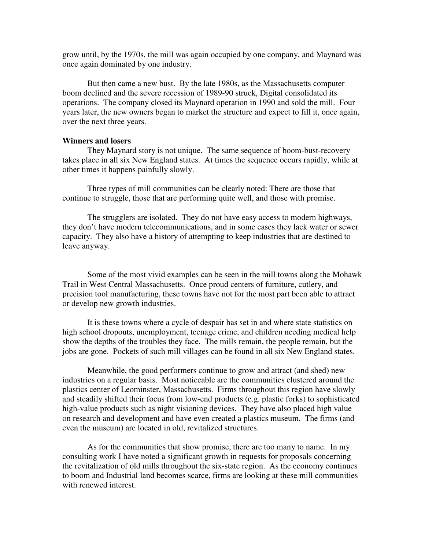grow until, by the 1970s, the mill was again occupied by one company, and Maynard was once again dominated by one industry.

 But then came a new bust. By the late 1980s, as the Massachusetts computer boom declined and the severe recession of 1989-90 struck, Digital consolidated its operations. The company closed its Maynard operation in 1990 and sold the mill. Four years later, the new owners began to market the structure and expect to fill it, once again, over the next three years.

### **Winners and losers**

 They Maynard story is not unique. The same sequence of boom-bust-recovery takes place in all six New England states. At times the sequence occurs rapidly, while at other times it happens painfully slowly.

 Three types of mill communities can be clearly noted: There are those that continue to struggle, those that are performing quite well, and those with promise.

 The strugglers are isolated. They do not have easy access to modern highways, they don't have modern telecommunications, and in some cases they lack water or sewer capacity. They also have a history of attempting to keep industries that are destined to leave anyway.

Some of the most vivid examples can be seen in the mill towns along the Mohawk Trail in West Central Massachusetts. Once proud centers of furniture, cutlery, and precision tool manufacturing, these towns have not for the most part been able to attract or develop new growth industries.

It is these towns where a cycle of despair has set in and where state statistics on high school dropouts, unemployment, teenage crime, and children needing medical help show the depths of the troubles they face. The mills remain, the people remain, but the jobs are gone. Pockets of such mill villages can be found in all six New England states.

Meanwhile, the good performers continue to grow and attract (and shed) new industries on a regular basis. Most noticeable are the communities clustered around the plastics center of Leominster, Massachusetts. Firms throughout this region have slowly and steadily shifted their focus from low-end products (e.g. plastic forks) to sophisticated high-value products such as night visioning devices. They have also placed high value on research and development and have even created a plastics museum. The firms (and even the museum) are located in old, revitalized structures.

As for the communities that show promise, there are too many to name. In my consulting work I have noted a significant growth in requests for proposals concerning the revitalization of old mills throughout the six-state region. As the economy continues to boom and Industrial land becomes scarce, firms are looking at these mill communities with renewed interest.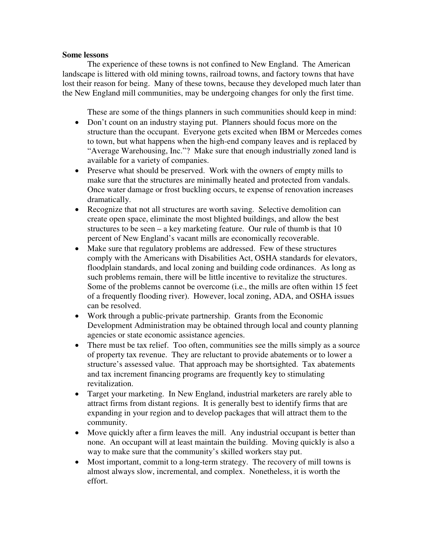## **Some lessons**

 The experience of these towns is not confined to New England. The American landscape is littered with old mining towns, railroad towns, and factory towns that have lost their reason for being. Many of these towns, because they developed much later than the New England mill communities, may be undergoing changes for only the first time.

These are some of the things planners in such communities should keep in mind:

- Don't count on an industry staying put. Planners should focus more on the structure than the occupant. Everyone gets excited when IBM or Mercedes comes to town, but what happens when the high-end company leaves and is replaced by "Average Warehousing, Inc."? Make sure that enough industrially zoned land is available for a variety of companies.
- Preserve what should be preserved. Work with the owners of empty mills to make sure that the structures are minimally heated and protected from vandals. Once water damage or frost buckling occurs, te expense of renovation increases dramatically.
- Recognize that not all structures are worth saving. Selective demolition can create open space, eliminate the most blighted buildings, and allow the best structures to be seen – a key marketing feature. Our rule of thumb is that 10 percent of New England's vacant mills are economically recoverable.
- Make sure that regulatory problems are addressed. Few of these structures comply with the Americans with Disabilities Act, OSHA standards for elevators, floodplain standards, and local zoning and building code ordinances. As long as such problems remain, there will be little incentive to revitalize the structures. Some of the problems cannot be overcome (i.e., the mills are often within 15 feet of a frequently flooding river). However, local zoning, ADA, and OSHA issues can be resolved.
- Work through a public-private partnership. Grants from the Economic Development Administration may be obtained through local and county planning agencies or state economic assistance agencies.
- There must be tax relief. Too often, communities see the mills simply as a source of property tax revenue. They are reluctant to provide abatements or to lower a structure's assessed value. That approach may be shortsighted. Tax abatements and tax increment financing programs are frequently key to stimulating revitalization.
- Target your marketing. In New England, industrial marketers are rarely able to attract firms from distant regions. It is generally best to identify firms that are expanding in your region and to develop packages that will attract them to the community.
- Move quickly after a firm leaves the mill. Any industrial occupant is better than none. An occupant will at least maintain the building. Moving quickly is also a way to make sure that the community's skilled workers stay put.
- Most important, commit to a long-term strategy. The recovery of mill towns is almost always slow, incremental, and complex. Nonetheless, it is worth the effort.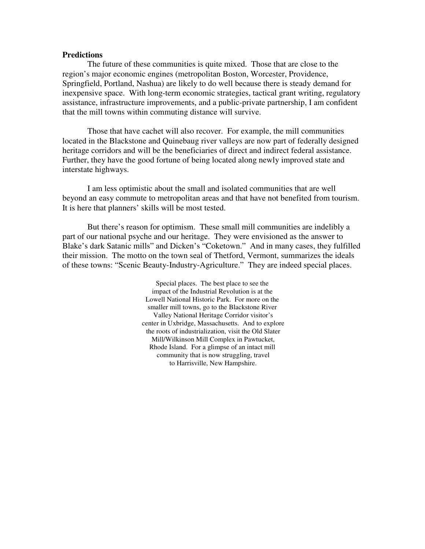#### **Predictions**

 The future of these communities is quite mixed. Those that are close to the region's major economic engines (metropolitan Boston, Worcester, Providence, Springfield, Portland, Nashua) are likely to do well because there is steady demand for inexpensive space. With long-term economic strategies, tactical grant writing, regulatory assistance, infrastructure improvements, and a public-private partnership, I am confident that the mill towns within commuting distance will survive.

 Those that have cachet will also recover. For example, the mill communities located in the Blackstone and Quinebaug river valleys are now part of federally designed heritage corridors and will be the beneficiaries of direct and indirect federal assistance. Further, they have the good fortune of being located along newly improved state and interstate highways.

 I am less optimistic about the small and isolated communities that are well beyond an easy commute to metropolitan areas and that have not benefited from tourism. It is here that planners' skills will be most tested.

 But there's reason for optimism. These small mill communities are indelibly a part of our national psyche and our heritage. They were envisioned as the answer to Blake's dark Satanic mills" and Dicken's "Coketown." And in many cases, they fulfilled their mission. The motto on the town seal of Thetford, Vermont, summarizes the ideals of these towns: "Scenic Beauty-Industry-Agriculture." They are indeed special places.

> Special places. The best place to see the impact of the Industrial Revolution is at the Lowell National Historic Park. For more on the smaller mill towns, go to the Blackstone River Valley National Heritage Corridor visitor's center in Uxbridge, Massachusetts. And to explore the roots of industrialization, visit the Old Slater Mill/Wilkinson Mill Complex in Pawtucket, Rhode Island. For a glimpse of an intact mill community that is now struggling, travel to Harrisville, New Hampshire.